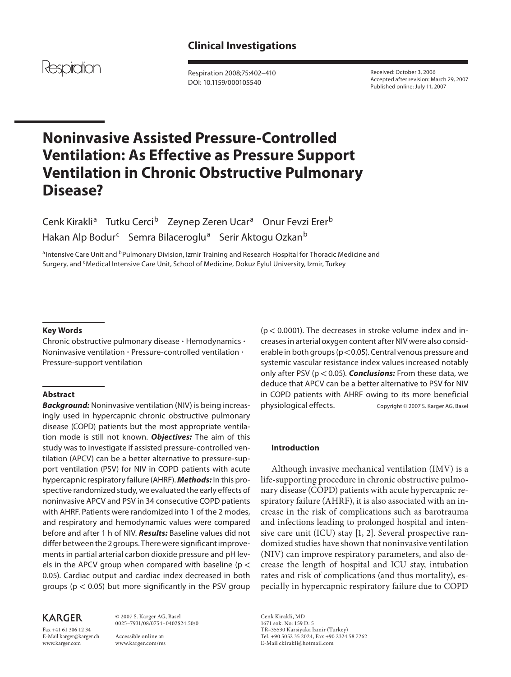

 Respiration 2008;75:402–410 DOI: 10.1159/000105540

 Received: October 3, 2006 Accepted after revision: March 29, 2007 Published online: July 11, 2007

# **Noninvasive Assisted Pressure-Controlled Ventilation: As Effective as Pressure Support Ventilation in Chronic Obstructive Pulmonary Disease?**

Cenk Kirakli<sup>a</sup> Tutku Cerci<sup>b</sup> Zeynep Zeren Ucar<sup>a</sup> Onur Fevzi Erer<sup>b</sup> Hakan Alp Bodur<sup>c</sup> Semra Bilaceroglu<sup>a</sup> Serir Aktogu Ozkan<sup>b</sup>

a Intensive Care Unit and <sup>b</sup>Pulmonary Division, Izmir Training and Research Hospital for Thoracic Medicine and Surgery, and <sup>c</sup>Medical Intensive Care Unit, School of Medicine, Dokuz Eylul University, Izmir, Turkey

## **Key Words**

Chronic obstructive pulmonary disease · Hemodynamics · Noninvasive ventilation - Pressure-controlled ventilation - Pressure-support ventilation

### **Abstract**

 *Background:* Noninvasive ventilation (NIV) is being increasingly used in hypercapnic chronic obstructive pulmonary disease (COPD) patients but the most appropriate ventilation mode is still not known. *Objectives:* The aim of this study was to investigate if assisted pressure-controlled ventilation (APCV) can be a better alternative to pressure-support ventilation (PSV) for NIV in COPD patients with acute hypercapnic respiratory failure (AHRF). *Methods:* In this prospective randomized study, we evaluated the early effects of noninvasive APCV and PSV in 34 consecutive COPD patients with AHRF. Patients were randomized into 1 of the 2 modes, and respiratory and hemodynamic values were compared before and after 1 h of NIV. *Results:* Baseline values did not differ between the 2 groups. There were significant improvements in partial arterial carbon dioxide pressure and pH levels in the APCV group when compared with baseline ( $p <$ 0.05). Cardiac output and cardiac index decreased in both groups ( $p < 0.05$ ) but more significantly in the PSV group

# **KARGER**

Fax +41 61 306 12 34 E-Mail karger@karger.ch www.karger.com

 © 2007 S. Karger AG, Basel 0025–7931/08/0754–0402\$24.50/0

 Accessible online at: www.karger.com/res  $(p < 0.0001)$ . The decreases in stroke volume index and increases in arterial oxygen content after NIV were also considerable in both groups ( $p < 0.05$ ). Central venous pressure and systemic vascular resistance index values increased notably only after PSV (p < 0.05). **Conclusions:** From these data, we deduce that APCV can be a better alternative to PSV for NIV in COPD patients with AHRF owing to its more beneficial physiological effects. Copyright © 2007 S. Karger AG, Basel

## **Introduction**

 Although invasive mechanical ventilation (IMV) is a life-supporting procedure in chronic obstructive pulmonary disease (COPD) patients with acute hypercapnic respiratory failure (AHRF), it is also associated with an increase in the risk of complications such as barotrauma and infections leading to prolonged hospital and intensive care unit (ICU) stay [1, 2]. Several prospective randomized studies have shown that noninvasive ventilation (NIV) can improve respiratory parameters, and also decrease the length of hospital and ICU stay, intubation rates and risk of complications (and thus mortality), especially in hypercapnic respiratory failure due to COPD

 Cenk Kirakli, MD 1671 sok. No: 159 D: 5 TR–35530 Karsiyaka Izmir (Turkey) Tel. +90 5052 35 2024, Fax +90 2324 58 7262 E-Mail ckirakli@hotmail.com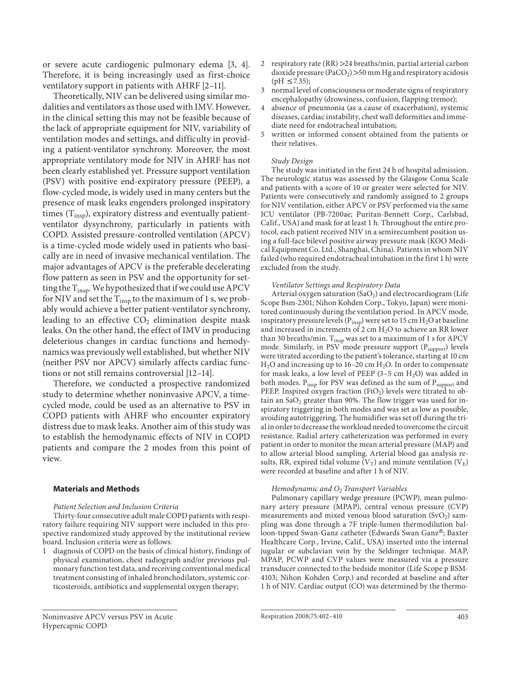or severe acute cardiogenic pulmonary edema [3, 4] . Therefore, it is being increasingly used as first-choice ventilatory support in patients with AHRF [2–11] .

 Theoretically, NIV can be delivered using similar modalities and ventilators as those used with IMV. However, in the clinical setting this may not be feasible because of the lack of appropriate equipment for NIV, variability of ventilation modes and settings, and difficulty in providing a patient-ventilator synchrony. Moreover, the most appropriate ventilatory mode for NIV in AHRF has not been clearly established yet. Pressure support ventilation (PSV) with positive end-expiratory pressure (PEEP), a flow-cycled mode, is widely used in many centers but the presence of mask leaks engenders prolonged inspiratory times  $(T_{insp})$ , expiratory distress and eventually patientventilator dysynchrony, particularly in patients with COPD. Assisted pressure-controlled ventilation (APCV) is a time-cycled mode widely used in patients who basically are in need of invasive mechanical ventilation. The major advantages of APCV is the preferable decelerating flow pattern as seen in PSV and the opportunity for setting the  $T_{insp}$ . We hypothesized that if we could use APCV for NIV and set the  $T_{insp}$  to the maximum of 1 s, we probably would achieve a better patient-ventilator synchrony, leading to an effective  $CO<sub>2</sub>$  elimination despite mask leaks. On the other hand, the effect of IMV in producing deleterious changes in cardiac functions and hemodynamics was previously well established, but whether NIV (neither PSV nor APCV) similarly affects cardiac functions or not still remains controversial [12–14] .

 Therefore, we conducted a prospective randomized study to determine whether noninvasive APCV, a timecycled mode, could be used as an alternative to PSV in COPD patients with AHRF who encounter expiratory distress due to mask leaks. Another aim of this study was to establish the hemodynamic effects of NIV in COPD patients and compare the 2 modes from this point of view.

#### **Materials and Methods**

 *Patient Selection and Inclusion Criteria* 

 Thirty-four consecutive adult male COPD patients with respiratory failure requiring NIV support were included in this prospective randomized study approved by the institutional review board. Inclusion criteria were as follows:

- 1 diagnosis of COPD on the basis of clinical history, findings of physical examination, chest radiograph and/or previous pulmonary function test data, and receiving conventional medical treatment consisting of inhaled bronchodilators, systemic corticosteroids, antibiotics and supplemental oxygen therapy;
- Noninvasive APCV versus PSV in Acute Hypercapnic COPD
- 2 respiratory rate (RR) > 24 breaths/min, partial arterial carbon dioxide pressure  $(PaCO<sub>2</sub>) > 50$  mm Hg and respiratory acidosis  $(pH \le 7.35);$
- 3 normal level of consciousness or moderate signs of respiratory encephalopathy (drowsiness, confusion, flapping tremor);
- 4 absence of pneumonia (as a cause of exacerbation), systemic diseases, cardiac instability, chest wall deformities and immediate need for endotracheal intubation;
- 5 written or informed consent obtained from the patients or their relatives.

#### *Study Design*

 The study was initiated in the first 24 h of hospital admission. The neurologic status was assessed by the Glasgow Coma Scale and patients with a score of 10 or greater were selected for NIV. Patients were consecutively and randomly assigned to 2 groups for NIV ventilation, either APCV or PSV performed via the same ICU ventilator (PB-7200ae; Puritan-Bennett Corp., Carlsbad, Calif., USA) and mask for at least 1 h. Throughout the entire protocol, each patient received NIV in a semirecumbent position using a full-face bilevel positive airway pressure mask (KOO Medical Equipment Co. Ltd., Shanghai, China). Patients in whom NIV failed (who required endotracheal intubation in the first 1 h) were excluded from the study.

#### *Ventilator Settings and Respiratory Data*

Arterial oxygen saturation  $(SaO<sub>2</sub>)$  and electrocardiogram (Life Scope Bsm-2301; Nihon Kohden Corp., Tokyo, Japan) were monitored continuously during the ventilation period. In APCV mode, inspiratory pressure levels ( $P_{insp}$ ) were set to 15 cm  $H_2O$  at baseline and increased in increments of 2 cm  $H_2O$  to achieve an RR lower than 30 breaths/min.  $T_{insp}$  was set to a maximum of 1 s for APCV mode. Similarly, in PSV mode pressure support  $(P_{support})$  levels were titrated according to the patient's tolerance, starting at 10 cm  $H<sub>2</sub>O$  and increasing up to 16–20 cm  $H<sub>2</sub>O$ . In order to compensate for mask leaks, a low level of PEEP  $(3-5 \text{ cm } H_2O)$  was added in both modes. Pinsp for PSV was defined as the sum of P<sub>support</sub> and PEEP. Inspired oxygen fraction (FiO<sub>2</sub>) levels were titrated to obtain an  $SaO<sub>2</sub>$  greater than 90%. The flow trigger was used for inspiratory triggering in both modes and was set as low as possible, avoiding autotriggering. The humidifier was set off during the trial in order to decrease the workload needed to overcome the circuit resistance. Radial artery catheterization was performed in every patient in order to monitor the mean arterial pressure (MAP) and to allow arterial blood sampling. Arterial blood gas analysis results, RR, expired tidal volume  $(V_T)$  and minute ventilation  $(V_F)$ were recorded at baseline and after 1 h of NIV.

#### *Hemodynamic and O<sub>2</sub> Transport Variables*

 Pulmonary capillary wedge pressure (PCWP), mean pulmonary artery pressure (MPAP), central venous pressure (CVP) measurements and mixed venous blood saturation  $(SvO<sub>2</sub>)$  sampling was done through a 7F triple-lumen thermodilution balloon-tipped Swan-Ganz catheter (Edwards Swan Ganz®; Baxter Healthcare Corp., Irvine, Calif., USA) inserted into the internal jugular or subclavian vein by the Seldinger technique. MAP, MPAP, PCWP and CVP values were measured via a pressure transducer connected to the bedside monitor (Life Scope p BSM-4103; Nihon Kohden Corp.) and recorded at baseline and after 1 h of NIV. Cardiac output (CO) was determined by the thermo-

Respiration 2008;75:402-410 403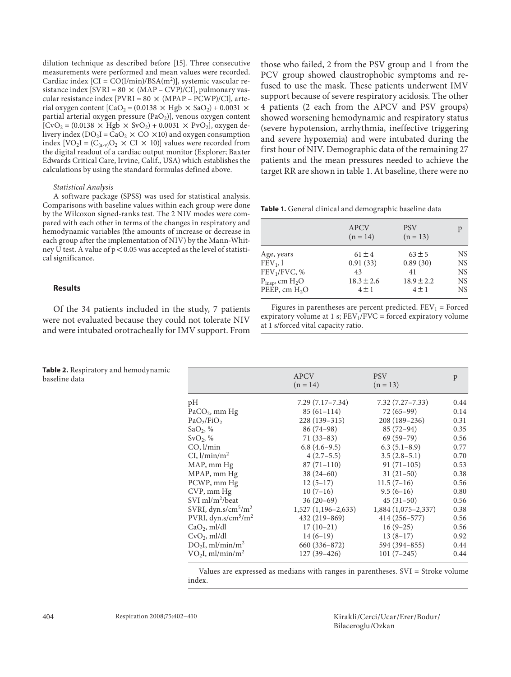dilution technique as described before [15]. Three consecutive measurements were performed and mean values were recorded. Cardiac index  $[CI = CO(l/min)/BSA(m<sup>2</sup>)]$ , systemic vascular resistance index  $[SVRI = 80 \times (MAP - CVP)/CI]$ , pulmonary vascular resistance index  $[PVRI = 80 \times (MPAP - PCWP)/CI]$ , arterial oxygen content  $\left[CaO_2 = (0.0138 \times Hgb \times SaO_2) + 0.0031 \times \right]$ partial arterial oxygen pressure  $(PaO<sub>2</sub>)$ , venous oxygen content  $[CvO_2 = (0.0138 \times Hgb \times SvO_2) + 0.0031 \times PvO_2]$ , oxygen delivery index  $(DO_2I = CaO_2 \times CO \times 10)$  and oxygen consumption index  $[VO_2I = (C_{(a-v)}O_2 \times CI \times 10)]$  values were recorded from the digital readout of a cardiac output monitor (Explorer; Baxter Edwards Critical Care, Irvine, Calif., USA) which establishes the calculations by using the standard formulas defined above.

#### *Statistical Analysis*

 A software package (SPSS) was used for statistical analysis. Comparisons with baseline values within each group were done by the Wilcoxon signed-ranks test. The 2 NIV modes were compared with each other in terms of the changes in respiratory and hemodynamic variables (the amounts of increase or decrease in each group after the implementation of NIV) by the Mann-Whitney U test. A value of  $p < 0.05$  was accepted as the level of statistical significance.

#### **Results**

 Of the 34 patients included in the study, 7 patients were not evaluated because they could not tolerate NIV and were intubated orotracheally for IMV support. From those who failed, 2 from the PSV group and 1 from the PCV group showed claustrophobic symptoms and refused to use the mask. These patients underwent IMV support because of severe respiratory acidosis. The other 4 patients (2 each from the APCV and PSV groups) showed worsening hemodynamic and respiratory status (severe hypotension, arrhythmia, ineffective triggering and severe hypoxemia) and were intubated during the first hour of NIV. Demographic data of the remaining 27 patients and the mean pressures needed to achieve the target RR are shown in table 1. At baseline, there were no

**Table 1.** General clinical and demographic baseline data

|                          | <b>APCV</b><br>$(n = 14)$ | <b>PSV</b><br>$(n = 13)$ | p         |
|--------------------------|---------------------------|--------------------------|-----------|
| Age, years               | $61 \pm 4$                | $63 \pm 5$               | <b>NS</b> |
| $FEV1$ , 1               | 0.91(33)                  | 0.89(30)                 | <b>NS</b> |
| FEV <sub>1</sub> /FVC, % | 43                        | 41                       | <b>NS</b> |
| $P_{insp}$ , cm $H_2O$   | $18.3 \pm 2.6$            | $18.9 \pm 2.2$           | <b>NS</b> |
| PEEP, cm $H2O$           | $4 \pm 1$                 | $4 \pm 1$                | <b>NS</b> |

Figures in parentheses are percent predicted.  $FEV_1 = Forced$ expiratory volume at 1 s;  $FEV<sub>1</sub>/FVC = forced \nexpiatory \nvolume$ at 1 s/forced vital capacity ratio.

|                                          | <b>APCV</b><br>$(n = 14)$ | <b>PSV</b><br>$(n = 13)$ | p    |
|------------------------------------------|---------------------------|--------------------------|------|
| pН                                       | $7.29(7.17 - 7.34)$       | $7.32(7.27 - 7.33)$      | 0.44 |
| $PaCO2$ , mm Hg                          | $85(61-114)$              | $72(65-99)$              | 0.14 |
| PaO <sub>2</sub> /FiO <sub>2</sub>       | $228(139-315)$            | 208 (189-236)            | 0.31 |
| SaO <sub>2</sub> , %                     | $86(74-98)$               | $85(72-94)$              | 0.35 |
| $SvO2$ , %                               | $71(33-83)$               | $69(59-79)$              | 0.56 |
| CO, l/min                                | $6.8(4.6-9.5)$            | $6.3(5.1-8.9)$           | 0.77 |
| $CI, \frac{1}{\min/m^2}$                 | $4(2.7-5.5)$              | $3.5(2.8-5.1)$           | 0.70 |
| MAP, mm Hg                               | $87(71-110)$              | $91(71-105)$             | 0.53 |
| MPAP, mm Hg                              | $38(24-60)$               | $31(21-50)$              | 0.38 |
| PCWP, mm Hg                              | $12(5-17)$                | $11.5(7-16)$             | 0.56 |
| CVP, mm Hg                               | $10(7-16)$                | $9.5(6-16)$              | 0.80 |
| SVI ml/m <sup>2</sup> /beat              | $36(20-69)$               | $45(31-50)$              | 0.56 |
| SVRI, $dyn.s/cm5/m2$                     | $1,527$ (1,196–2,633)     | $1,884(1,075-2,337)$     | 0.38 |
| PVRI, $dyn.s/cm5/m2$                     | 432 (219-869)             | 414 (256-577)            | 0.56 |
| $CaO2$ , ml/dl                           | $17(10-21)$               | $16(9-25)$               | 0.56 |
| $CvO2$ , ml/dl                           | $14(6-19)$                | $13(8-17)$               | 0.92 |
| $DO2I$ , ml/min/m <sup>2</sup>           | 660 (336–872)             | 594 (394-855)            | 0.44 |
| VO <sub>2</sub> I, ml/min/m <sup>2</sup> | $127(39-426)$             | $101(7-245)$             | 0.44 |

Values are expressed as medians with ranges in parentheses. SVI = Stroke volume index.

> Kirakli /Cerci /Ucar /Erer /Bodur / Bilaceroglu /Ozkan

**Table 2.** Respiratory and hemodynamic baseline data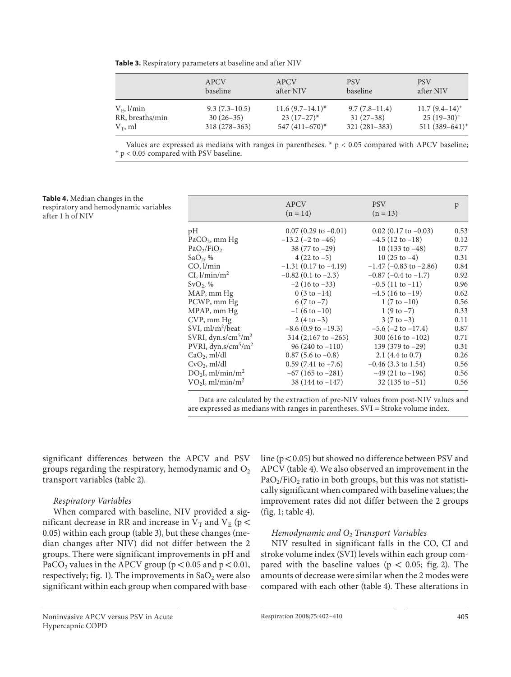**Table 3.** Respiratory parameters at baseline and after NIV

|                 | APCV            | APCV               | <b>PSV</b>      | <b>PSV</b>         |
|-----------------|-----------------|--------------------|-----------------|--------------------|
|                 | baseline        | after NIV          | baseline        | after NIV          |
| $V_F$ , $l/min$ | $9.3(7.3-10.5)$ | $11.6(9.7-14.1)^*$ | $9.7(7.8-11.4)$ | $11.7(9.4-14)^{+}$ |
| RR, breaths/min | $30(26-35)$     | $23(17-27)^{*}$    | $31(27-38)$     | $25(19-30)^+$      |
| $V_T$ , ml      | $318(278-363)$  | $547(411-670)$ *   | $321(281-383)$  | $511(389-641)^+$   |

Values are expressed as medians with ranges in parentheses. \*  $p < 0.05$  compared with APCV baseline;  $p < 0.05$  compared with PSV baseline.

#### **Table 4.** Median changes in the respiratory and hemodynamic variables after 1 h of NIV

|                                          | <b>APCV</b><br>$(n = 14)$      | <b>PSV</b><br>$(n = 13)$       | p    |
|------------------------------------------|--------------------------------|--------------------------------|------|
| pН                                       | $0.07(0.29 \text{ to } -0.01)$ | $0.02$ (0.17 to $-0.03$ )      | 0.53 |
| $PaCO2$ , mm Hg                          | $-13.2$ ( $-2$ to $-46$ )      | $-4.5$ (12 to $-18$ )          | 0.12 |
| PaO <sub>2</sub> /FiO <sub>2</sub>       | 38 $(77 to -29)$               | 10 $(133 \text{ to } -48)$     | 0.77 |
| SaO <sub>2</sub> , %                     | $4(22 \text{ to } -5)$         | $10(25 \text{ to } -4)$        | 0.31 |
| CO, l/min                                | $-1.31$ (0.17 to $-4.19$ )     | $-1.47$ ( $-0.83$ to $-2.86$ ) | 0.84 |
| $CI, \frac{1}{\min/m^2}$                 | $-0.82$ (0.1 to $-2.3$ )       | $-0.87$ ( $-0.4$ to $-1.7$ )   | 0.92 |
| SvO <sub>2</sub> , %                     | $-2(16 \text{ to } -33)$       | $-0.5(11 \text{ to } -11)$     | 0.96 |
| MAP, mm Hg                               | $0(3 to -14)$                  | $-4.5(16 \text{ to } -19)$     | 0.62 |
| PCWP, mm Hg                              | $6(7 \text{ to } -7)$          | $1(7 to -10)$                  | 0.56 |
| MPAP, mm Hg                              | $-1(6 to -10)$                 | $1(9 to -7)$                   | 0.33 |
| $CVP$ , mm $Hg$                          | $2(4 to -3)$                   | $3(7 \text{ to } -3)$          | 0.11 |
| SVI, ml/m <sup>2</sup> /beat             | $-8.6$ (0.9 to $-19.3$ )       | $-5.6$ ( $-2$ to $-17.4$ )     | 0.87 |
| SVRI, $dyn.s/cm5/m2$                     | $314 (2,167 \text{ to } -265)$ | 300 (616 to $-102$ )           | 0.71 |
| PVRI, $dyn.s/cm5/m2$                     | $96(240 \text{ to } -110)$     | 139 (379 to -29)               | 0.31 |
| $CaO2$ , ml/dl                           | $0.87$ (5.6 to $-0.8$ )        | 2.1 $(4.4 \text{ to } 0.7)$    | 0.26 |
| $CvO2$ , ml/dl                           | $0.59(7.41 \text{ to } -7.6)$  | $-0.46$ (3.3 to 1.54)          | 0.56 |
| $DO2I$ , ml/min/m <sup>2</sup>           | $-67$ (165 to $-281$ )         | $-49$ (21 to $-196$ )          | 0.56 |
| VO <sub>2</sub> I, ml/min/m <sup>2</sup> | $38(144 \text{ to } -147)$     | $32(135 \text{ to } -51)$      | 0.56 |

Data are calculated by the extraction of pre-NIV values from post-NIV values and are expressed as medians with ranges in parentheses. SVI = Stroke volume index.

significant differences between the APCV and PSV groups regarding the respiratory, hemodynamic and  $O_2$ transport variables (table 2).

## *Respiratory Variables*

 When compared with baseline, NIV provided a significant decrease in RR and increase in  $V_T$  and  $V_E$  (p < 0.05) within each group (table 3), but these changes (median changes after NIV) did not differ between the 2 groups. There were significant improvements in pH and PaCO<sub>2</sub> values in the APCV group ( $p < 0.05$  and  $p < 0.01$ , respectively; fig. 1). The improvements in  $SaO<sub>2</sub>$  were also significant within each group when compared with baseline ( $p < 0.05$ ) but showed no difference between PSV and APCV (table 4). We also observed an improvement in the  $PaO<sub>2</sub>/FiO<sub>2</sub>$  ratio in both groups, but this was not statistically significant when compared with baseline values; the improvement rates did not differ between the 2 groups (fig. 1; table 4).

# *Hemodynamic and O<sub>2</sub> Transport Variables*

 NIV resulted in significant falls in the CO, CI and stroke volume index (SVI) levels within each group compared with the baseline values ( $p < 0.05$ ; fig. 2). The amounts of decrease were similar when the 2 modes were compared with each other (table 4). These alterations in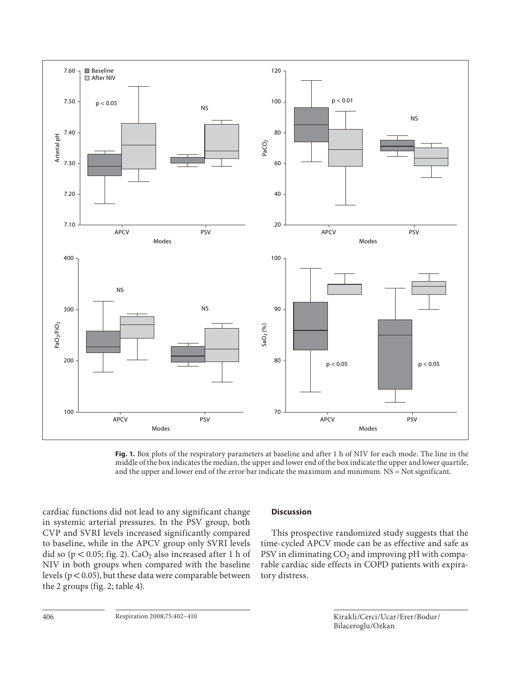

 **Fig. 1.** Box plots of the respiratory parameters at baseline and after 1 h of NIV for each mode. The line in the middle of the box indicates the median, the upper and lower end of the box indicate the upper and lower quartile, and the upper and lower end of the error bar indicate the maximum and minimum. NS = Not significant.

cardiac functions did not lead to any significant change in systemic arterial pressures. In the PSV group, both CVP and SVRI levels increased significantly compared to baseline, while in the APCV group only SVRI levels did so ( $p < 0.05$ ; fig. 2). CaO<sub>2</sub> also increased after 1 h of NIV in both groups when compared with the baseline levels ( $p < 0.05$ ), but these data were comparable between the 2 groups (fig. 2; table 4).

## **Discussion**

 This prospective randomized study suggests that the time-cycled APCV mode can be as effective and safe as PSV in eliminating  $CO<sub>2</sub>$  and improving pH with comparable cardiac side effects in COPD patients with expiratory distress.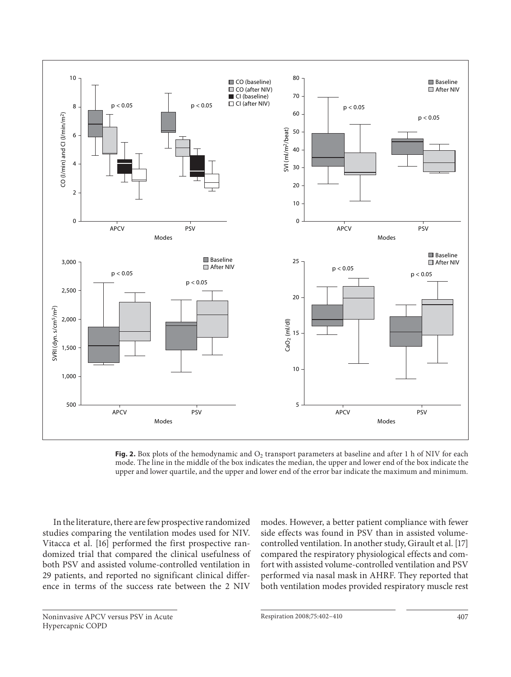

Fig. 2. Box plots of the hemodynamic and O<sub>2</sub> transport parameters at baseline and after 1 h of NIV for each mode. The line in the middle of the box indicates the median, the upper and lower end of the box indicate the upper and lower quartile, and the upper and lower end of the error bar indicate the maximum and minimum.

 In the literature, there are few prospective randomized studies comparing the ventilation modes used for NIV. Vitacca et al. [16] performed the first prospective randomized trial that compared the clinical usefulness of both PSV and assisted volume-controlled ventilation in 29 patients, and reported no significant clinical difference in terms of the success rate between the 2 NIV modes. However, a better patient compliance with fewer side effects was found in PSV than in assisted volumecontrolled ventilation. In another study, Girault et al. [17] compared the respiratory physiological effects and comfort with assisted volume-controlled ventilation and PSV performed via nasal mask in AHRF. They reported that both ventilation modes provided respiratory muscle rest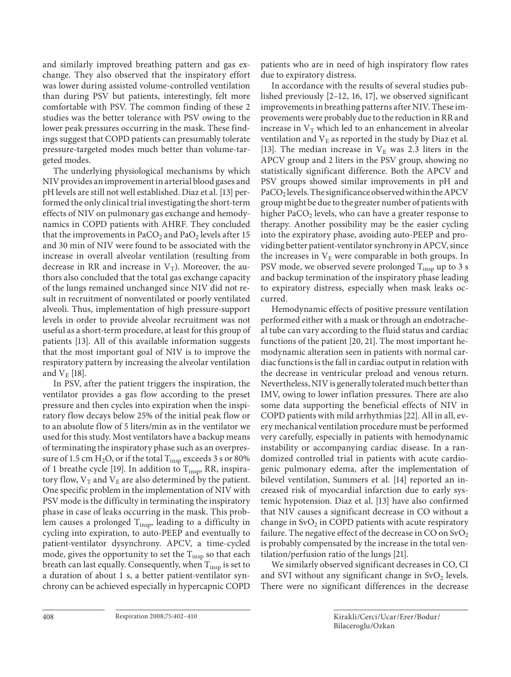and similarly improved breathing pattern and gas exchange. They also observed that the inspiratory effort was lower during assisted volume-controlled ventilation than during PSV but patients, interestingly, felt more comfortable with PSV. The common finding of these 2 studies was the better tolerance with PSV owing to the lower peak pressures occurring in the mask. These findings suggest that COPD patients can presumably tolerate pressure-targeted modes much better than volume-targeted modes.

 The underlying physiological mechanisms by which NIV provides an improvement in arterial blood gases and pH levels are still not well established. Diaz et al. [13] performed the only clinical trial investigating the short-term effects of NIV on pulmonary gas exchange and hemodynamics in COPD patients with AHRF. They concluded that the improvements in  $PaCO<sub>2</sub>$  and  $PaO<sub>2</sub>$  levels after 15 and 30 min of NIV were found to be associated with the increase in overall alveolar ventilation (resulting from decrease in RR and increase in  $V_T$ ). Moreover, the authors also concluded that the total gas exchange capacity of the lungs remained unchanged since NIV did not result in recruitment of nonventilated or poorly ventilated alveoli. Thus, implementation of high pressure-support levels in order to provide alveolar recruitment was not useful as a short-term procedure, at least for this group of patients [13]. All of this available information suggests that the most important goal of NIV is to improve the respiratory pattern by increasing the alveolar ventilation and  $V_E$  [18].

 In PSV, after the patient triggers the inspiration, the ventilator provides a gas flow according to the preset pressure and then cycles into expiration when the inspiratory flow decays below 25% of the initial peak flow or to an absolute flow of 5 liters/min as in the ventilator we used for this study. Most ventilators have a backup means of terminating the inspiratory phase such as an overpressure of 1.5 cm  $H_2O$ , or if the total  $T_{insp}$  exceeds 3 s or 80% of 1 breathe cycle [19]. In addition to  $T_{insp}$ , RR, inspiratory flow,  $V_T$  and  $V_E$  are also determined by the patient. One specific problem in the implementation of NIV with PSV mode is the difficulty in terminating the inspiratory phase in case of leaks occurring in the mask. This problem causes a prolonged  $T_{insp}$ , leading to a difficulty in cycling into expiration, to auto-PEEP and eventually to patient-ventilator dysynchrony. APCV, a time-cycled mode, gives the opportunity to set the  $T_{insp}$  so that each breath can last equally. Consequently, when  $T_{insp}$  is set to a duration of about 1 s, a better patient-ventilator synchrony can be achieved especially in hypercapnic COPD patients who are in need of high inspiratory flow rates due to expiratory distress.

 In accordance with the results of several studies published previously  $[2-12, 16, 17]$ , we observed significant improvements in breathing patterns after NIV. These improvements were probably due to the reduction in RR and increase in  $V_T$  which led to an enhancement in alveolar ventilation and  $V_E$  as reported in the study by Diaz et al. [13]. The median increase in  $V_E$  was 2.3 liters in the APCV group and 2 liters in the PSV group, showing no statistically significant difference. Both the APCV and PSV groups showed similar improvements in pH and  $PaCO<sub>2</sub>$  levels. The significance observed within the APCV group might be due to the greater number of patients with higher  $PaCO<sub>2</sub>$  levels, who can have a greater response to therapy. Another possibility may be the easier cycling into the expiratory phase, avoiding auto-PEEP and providing better patient-ventilator synchrony in APCV, since the increases in  $V<sub>E</sub>$  were comparable in both groups. In PSV mode, we observed severe prolonged  $T_{insp}$  up to 3 s and backup termination of the inspiratory phase leading to expiratory distress, especially when mask leaks occurred.

 Hemodynamic effects of positive pressure ventilation performed either with a mask or through an endotracheal tube can vary according to the fluid status and cardiac functions of the patient [20, 21]. The most important hemodynamic alteration seen in patients with normal cardiac functions is the fall in cardiac output in relation with the decrease in ventricular preload and venous return. Nevertheless, NIV is generally tolerated much better than IMV, owing to lower inflation pressures. There are also some data supporting the beneficial effects of NIV in COPD patients with mild arrhythmias [22] . All in all, every mechanical ventilation procedure must be performed very carefully, especially in patients with hemodynamic instability or accompanying cardiac disease. In a randomized controlled trial in patients with acute cardiogenic pulmonary edema, after the implementation of bilevel ventilation, Summers et al. [14] reported an increased risk of myocardial infarction due to early systemic hypotension. Diaz et al. [13] have also confirmed that NIV causes a significant decrease in CO without a change in  $\text{SvO}_2$  in COPD patients with acute respiratory failure. The negative effect of the decrease in CO on  $\text{SvO}_2$ is probably compensated by the increase in the total ventilation/perfusion ratio of the lungs [21] .

 We similarly observed significant decreases in CO, CI and SVI without any significant change in  $\text{SvO}_2$  levels. There were no significant differences in the decrease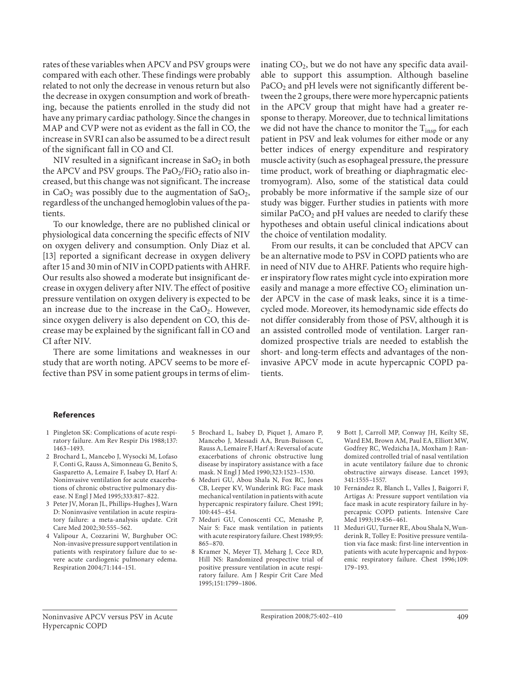rates of these variables when APCV and PSV groups were compared with each other. These findings were probably related to not only the decrease in venous return but also the decrease in oxygen consumption and work of breathing, because the patients enrolled in the study did not have any primary cardiac pathology. Since the changes in MAP and CVP were not as evident as the fall in CO, the increase in SVRI can also be assumed to be a direct result of the significant fall in CO and CI.

NIV resulted in a significant increase in  $SaO<sub>2</sub>$  in both the APCV and PSV groups. The  $PaO<sub>2</sub>/FiO<sub>2</sub>$  ratio also increased, but this change was not significant. The increase in CaO<sub>2</sub> was possibly due to the augmentation of SaO<sub>2</sub>, regardless of the unchanged hemoglobin values of the patients.

 To our knowledge, there are no published clinical or physiological data concerning the specific effects of NIV on oxygen delivery and consumption. Only Diaz et al. [13] reported a significant decrease in oxygen delivery after 15 and 30 min of NIV in COPD patients with AHRF. Our results also showed a moderate but insignificant decrease in oxygen delivery after NIV. The effect of positive pressure ventilation on oxygen delivery is expected to be an increase due to the increase in the  $CaO<sub>2</sub>$ . However, since oxygen delivery is also dependent on CO, this decrease may be explained by the significant fall in CO and CI after NIV.

 There are some limitations and weaknesses in our study that are worth noting. APCV seems to be more effective than PSV in some patient groups in terms of eliminating  $CO<sub>2</sub>$ , but we do not have any specific data available to support this assumption. Although baseline PaCO<sub>2</sub> and pH levels were not significantly different between the 2 groups, there were more hypercapnic patients in the APCV group that might have had a greater response to therapy. Moreover, due to technical limitations we did not have the chance to monitor the  $T_{insp}$  for each patient in PSV and leak volumes for either mode or any better indices of energy expenditure and respiratory muscle activity (such as esophageal pressure, the pressure time product, work of breathing or diaphragmatic electromyogram). Also, some of the statistical data could probably be more informative if the sample size of our study was bigger. Further studies in patients with more similar  $PaCO<sub>2</sub>$  and pH values are needed to clarify these hypotheses and obtain useful clinical indications about the choice of ventilation modality.

 From our results, it can be concluded that APCV can be an alternative mode to PSV in COPD patients who are in need of NIV due to AHRF. Patients who require higher inspiratory flow rates might cycle into expiration more easily and manage a more effective  $CO<sub>2</sub>$  elimination under APCV in the case of mask leaks, since it is a timecycled mode. Moreover, its hemodynamic side effects do not differ considerably from those of PSV, although it is an assisted controlled mode of ventilation. Larger randomized prospective trials are needed to establish the short- and long-term effects and advantages of the noninvasive APCV mode in acute hypercapnic COPD patients.

#### **References**

- 1 Pingleton SK: Complications of acute respiratory failure. Am Rev Respir Dis 1988; 137: 1463–1493.
- 2 Brochard L, Mancebo J, Wysocki M, Lofaso F, Conti G, Rauss A, Simonneau G, Benito S, Gasparetto A, Lemaire F, Isabey D, Harf A: Noninvasive ventilation for acute exacerbations of chronic obstructive pulmonary disease. N Engl J Med 1995; 333: 817–822.
- 3 Peter JV, Moran JL, Phillips-Hughes J, Warn D: Noninvasive ventilation in acute respiratory failure: a meta-analysis update. Crit Care Med 2002;30:555-562.
- 4 Valipour A, Cozzarini W, Burghuber OC: Non-invasive pressure support ventilation in patients with respiratory failure due to severe acute cardiogenic pulmonary edema. Respiration 2004; 71: 144–151.
- 5 Brochard L, Isabey D, Piquet J, Amaro P, Mancebo J, Messadi AA, Brun-Buisson C, Rauss A, Lemaire F, Harf A: Reversal of acute exacerbations of chronic obstructive lung disease by inspiratory assistance with a face mask. N Engl J Med 1990; 323: 1523–1530.
- 6 Meduri GU, Abou Shala N, Fox RC, Jones CB, Leeper KV, Wunderink RG: Face mask mechanical ventilation in patients with acute hypercapnic respiratory failure. Chest 1991; 100: 445–454.
- 7 Meduri GU, Conoscenti CC, Menashe P, Nair S: Face mask ventilation in patients with acute respiratory failure. Chest 1989;95: 865–870.
- 8 Kramer N, Meyer TJ, Meharg J, Cece RD, Hill NS: Randomized prospective trial of positive pressure ventilation in acute respiratory failure. Am J Respir Crit Care Med 1995; 151: 1799–1806.
- 9 Bott J, Carroll MP, Conway JH, Keilty SE, Ward EM, Brown AM, Paul EA, Elliott MW, Godfrey RC, Wedzicha JA, Moxham J: Randomized controlled trial of nasal ventilation in acute ventilatory failure due to chronic obstructive airways disease. Lancet 1993; 341: 1555–1557.
- 10 Fernández R, Blanch L, Valles J, Baigorri F, Artigas A: Pressure support ventilation via face mask in acute respiratory failure in hypercapnic COPD patients. Intensive Care Med 1993;19:456-461.
- 11 Meduri GU, Turner RE, Abou Shala N, Wunderink R, Tolley E: Positive pressure ventilation via face mask: first-line intervention in patients with acute hypercapnic and hypoxemic respiratory failure. Chest 1996; 109: 179–193.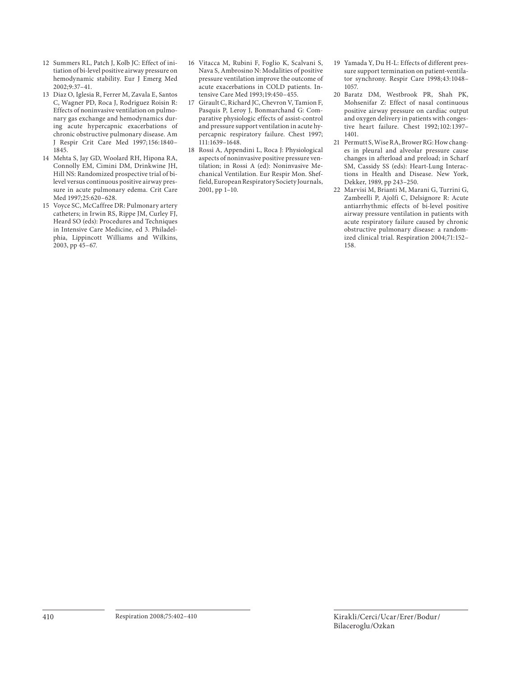- 12 Summers RL, Patch J, Kolb JC: Effect of initiation of bi-level positive airway pressure on hemodynamic stability. Eur J Emerg Med  $2002:9:37-41.$
- 13 Diaz O, Iglesia R, Ferrer M, Zavala E, Santos C, Wagner PD, Roca J, Rodriguez Roisin R: Effects of noninvasive ventilation on pulmonary gas exchange and hemodynamics during acute hypercapnic exacerbations of chronic obstructive pulmonary disease. Am J Respir Crit Care Med 1997; 156: 1840– 1845.
- 14 Mehta S, Jay GD, Woolard RH, Hipona RA, Connolly EM, Cimini DM, Drinkwine JH, Hill NS: Randomized prospective trial of bilevel versus continuous positive airway pressure in acute pulmonary edema. Crit Care Med 1997;25:620-628.
- 15 Voyce SC, McCaffree DR: Pulmonary artery catheters; in Irwin RS, Rippe JM, Curley FJ, Heard SO (eds): Procedures and Techniques in Intensive Care Medicine, ed 3. Philadelphia, Lippincott Williams and Wilkins, 2003, pp 45–67.
- 16 Vitacca M, Rubini F, Foglio K, Scalvani S, Nava S, Ambrosino N: Modalities of positive pressure ventilation improve the outcome of acute exacerbations in COLD patients. Intensive Care Med 1993;19:450-455.
- 17 Girault C, Richard JC, Chevron V, Tamion F, Pasquis P, Leroy J, Bonmarchand G: Comparative physiologic effects of assist-control and pressure support ventilation in acute hypercapnic respiratory failure. Chest 1997; 111: 1639–1648.
- 18 Rossi A, Appendini L, Roca J: Physiological aspects of noninvasive positive pressure ventilation; in Rossi A (ed): Noninvasive Mechanical Ventilation. Eur Respir Mon. Sheffield, European Respiratory Society Journals, 2001, pp 1–10.
- 19 Yamada Y, Du H-L: Effects of different pressure support termination on patient-ventilator synchrony. Respir Care 1998; 43: 1048– 1057.
- 20 Baratz DM, Westbrook PR, Shah PK, Mohsenifar Z: Effect of nasal continuous positive airway pressure on cardiac output and oxygen delivery in patients with congestive heart failure. Chest 1992; 102: 1397– 1401.
- 21 Permutt S, Wise RA, Brower RG: How changes in pleural and alveolar pressure cause changes in afterload and preload; in Scharf SM, Cassidy SS (eds): Heart-Lung Interactions in Health and Disease. New York, Dekker, 1989, pp 243–250.
- 22 Marvisi M, Brianti M, Marani G, Turrini G, Zambrelli P, Ajolfi C, Delsignore R: Acute antiarrhythmic effects of bi-level positive airway pressure ventilation in patients with acute respiratory failure caused by chronic obstructive pulmonary disease: a randomized clinical trial. Respiration 2004;71:152-158.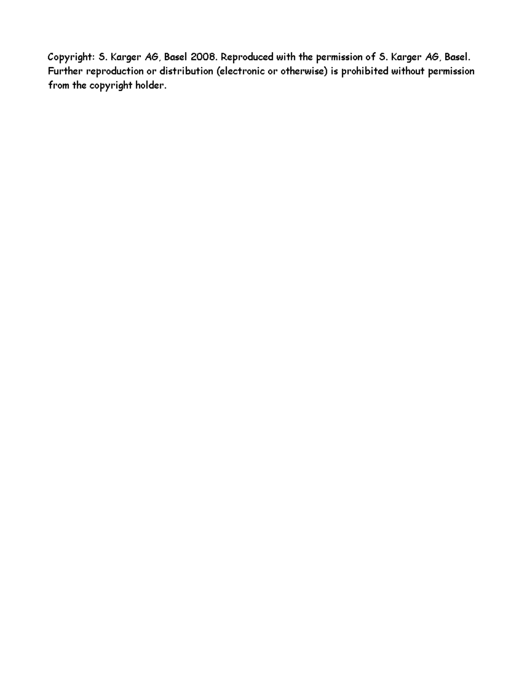Copyright: S. Karger AG, Basel 2008. Reproduced with the permission of S. Karger AG, Basel. Further reproduction or distribution (electronic or otherwise) is prohibited without permission from the copyright holder.